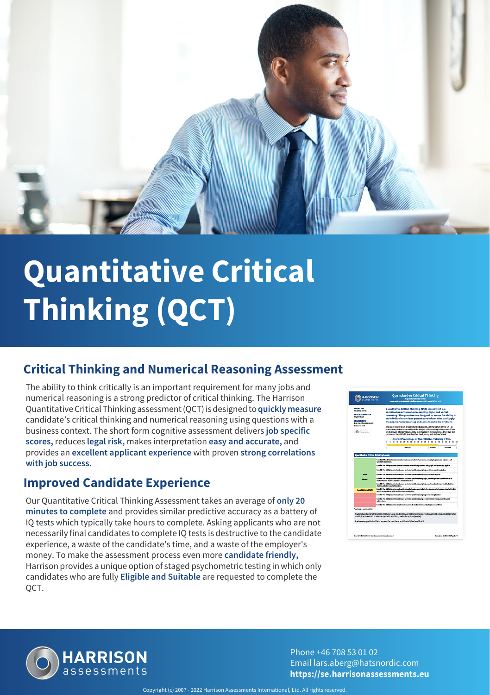

# **Quantitative Critical Thinking (QCT)**

### **Critical Thinking and Numerical Reasoning Assessment**

The ability to think critically is an important requirement for many jobs and numerical reasoning is a strong predictor of critical thinking. The Harrison Quantitative Critical Thinking assessment (QCT) is designed to **quickly measure** candidate's critical thinking and numerical reasoning using questions with a business context. The short form cognitive assessment delivers **job specific scores,** reduces **legal risk,** makes interpretation **easy and accurate,** and provides an **excellent applicant experience** with proven **strong correlations with job success.**

#### **Improved Candidate Experience**

Our Quantitative Critical Thinking Assessment takes an average of **only 20 minutes to complete** and provides similar predictive accuracy as a battery of IQ tests which typically take hours to complete. Asking applicants who are not necessarily final candidates to complete IQ tests is destructive to the candidate experience, a waste of the candidate's time, and a waste of the employer's money. To make the assessment process even more **candidate friendly,** Harrison provides a unique option of staged psychometric testing in which only candidates who are fully **Eligible and Suitable** are requested to complete the QCT.





Phone +46 708 53 01 02 Email lars.aberg@hatsnordic.com **https://se.harrisonassessments.eu**